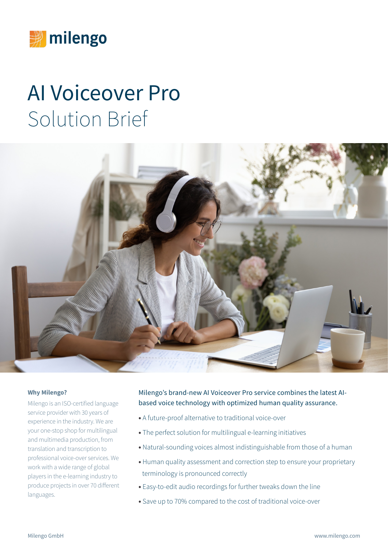

# AI Voiceover Pro Solution Brief



#### **Why Milengo?**

Milengo is an ISO-certified language service provider with 30 years of experience in the industry. We are your one-stop shop for multilingual and multimedia production, from translation and transcription to professional voice-over services. We work with a wide range of global players in the e-learning industry to produce projects in over 70 different languages.

Milengo's brand-new AI Voiceover Pro service combines the latest AIbased voice technology with optimized human quality assurance.

- **•** A future-proof alternative to traditional voice-over
- **•** The perfect solution for multilingual e-learning initiatives
- **•** Natural-sounding voices almost indistinguishable from those of a human
- **•** Human quality assessment and correction step to ensure your proprietary terminology is pronounced correctly
- **•** Easy-to-edit audio recordings for further tweaks down the line
- **•** Save up to 70% compared to the cost of traditional voice-over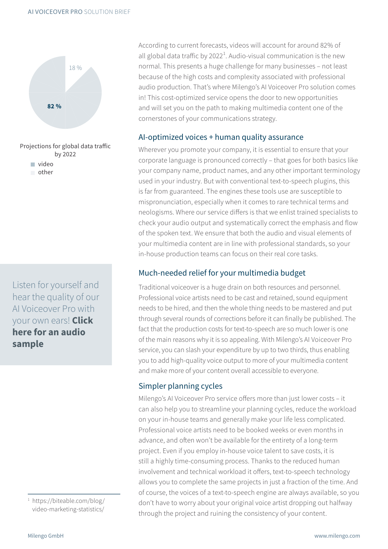

other

Listen for yourself and hear the quality of our AI Voiceover Pro with your own ears! **[Click](https://www.milengo.com/human-assisted-ai-voice-james/?lang=en)  [here for an audio](https://www.milengo.com/human-assisted-ai-voice-james/?lang=en)  [sample](https://www.milengo.com/human-assisted-ai-voice-james/?lang=en)**

> 1  [https://biteable.com/blog/](https://biteable.com/blog/video-marketing-statistics/) [video-marketing-statistics/](https://biteable.com/blog/video-marketing-statistics/)

According to current forecasts, videos will account for around 82% of all global data traffic by 2022<sup>1</sup>. Audio-visual communication is the new normal. This presents a huge challenge for many businesses – not least because of the high costs and complexity associated with professional audio production. That's where Milengo's AI Voiceover Pro solution comes in! This cost-optimized service opens the door to new opportunities and will set you on the path to making multimedia content one of the cornerstones of your communications strategy.

#### AI-optimized voices + human quality assurance

Wherever you promote your company, it is essential to ensure that your corporate language is pronounced correctly – that goes for both basics like your company name, product names, and any other important terminology used in your industry. But with conventional text-to-speech plugins, this is far from guaranteed. The engines these tools use are susceptible to mispronunciation, especially when it comes to rare technical terms and neologisms. Where our service differs is that we enlist trained specialists to check your audio output and systematically correct the emphasis and flow of the spoken text. We ensure that both the audio and visual elements of your multimedia content are in line with professional standards, so your in-house production teams can focus on their real core tasks.

### Much-needed relief for your multimedia budget

Traditional voiceover is a huge drain on both resources and personnel. Professional voice artists need to be cast and retained, sound equipment needs to be hired, and then the whole thing needs to be mastered and put through several rounds of corrections before it can finally be published. The fact that the production costs for text-to-speech are so much lower is one of the main reasons why it is so appealing. With Milengo's AI Voiceover Pro service, you can slash your expenditure by up to two thirds, thus enabling you to add high-quality voice output to more of your multimedia content and make more of your content overall accessible to everyone.

#### Simpler planning cycles

Milengo's AI Voiceover Pro service offers more than just lower costs – it can also help you to streamline your planning cycles, reduce the workload on your in-house teams and generally make your life less complicated. Professional voice artists need to be booked weeks or even months in advance, and often won't be available for the entirety of a long-term project. Even if you employ in-house voice talent to save costs, it is still a highly time-consuming process. Thanks to the reduced human involvement and technical workload it offers, text-to-speech technology allows you to complete the same projects in just a fraction of the time. And of course, the voices of a text-to-speech engine are always available, so you don't have to worry about your original voice artist dropping out halfway through the project and ruining the consistency of your content.